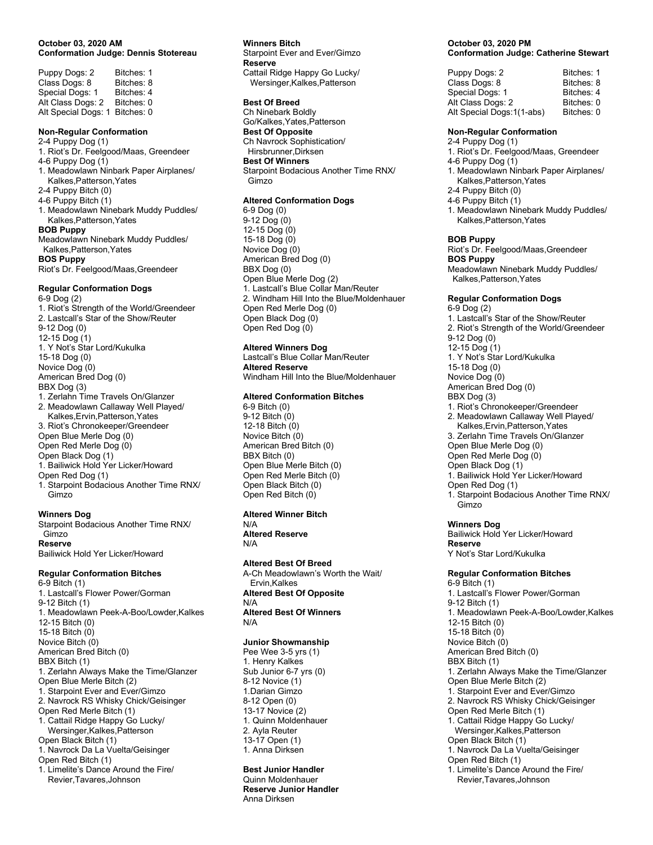#### October 03, 2020 AM Conformation Judge: Dennis Stotereau

| Puppy Dogs: 2       | Bitches: 1 |
|---------------------|------------|
| Class Dogs: 8       | Bitches: 8 |
| Special Dogs: 1     | Bitches: 4 |
| Alt Class Dogs: 2   | Bitches: 0 |
| Alt Special Dogs: 1 | Bitches: 0 |

#### Non-Regular Conformation

2-4 Puppy Dog (1) 1. Riot's Dr. Feelgood/Maas, Greendeer 4-6 Puppy Dog (1) 1. Meadowlawn Ninbark Paper Airplanes/ Kalkes,Patterson,Yates 2-4 Puppy Bitch (0) 4-6 Puppy Bitch (1) 1. Meadowlawn Ninebark Muddy Puddles/ Kalkes,Patterson,Yates BOB Puppy Meadowlawn Ninebark Muddy Puddles/ Kalkes,Patterson,Yates BOS Puppy Riot's Dr. Feelgood/Maas,Greendeer

### Regular Conformation Dogs

6-9 Dog (2) 1. Riot's Strength of the World/Greendeer 2. Lastcall's Star of the Show/Reuter 9-12 Dog (0) 12-15 Dog (1) 1. Y Not's Star Lord/Kukulka 15-18 Dog (0) Novice Dog (0) American Bred Dog (0) BBX Dog (3) 1. Zerlahn Time Travels On/Glanzer 2. Meadowlawn Callaway Well Played/ Kalkes,Ervin,Patterson,Yates 3. Riot's Chronokeeper/Greendeer Open Blue Merle Dog (0) Open Red Merle Dog (0) Open Black Dog (1) 1. Bailiwick Hold Yer Licker/Howard Open Red Dog (1) 1. Starpoint Bodacious Another Time RNX/ Gimzo

#### Winners Dog

Starpoint Bodacious Another Time RNX/ Gimzo Reserve Bailiwick Hold Yer Licker/Howard

#### Regular Conformation Bitches

6-9 Bitch (1) 1. Lastcall's Flower Power/Gorman 9-12 Bitch (1) 1. Meadowlawn Peek-A-Boo/Lowder,Kalkes 12-15 Bitch (0) 15-18 Bitch (0) Novice Bitch (0) American Bred Bitch (0) BBX Bitch (1) 1. Zerlahn Always Make the Time/Glanzer Open Blue Merle Bitch (2) 1. Starpoint Ever and Ever/Gimzo 2. Navrock RS Whisky Chick/Geisinger Open Red Merle Bitch (1) 1. Cattail Ridge Happy Go Lucky/ Wersinger,Kalkes,Patterson Open Black Bitch (1) 1. Navrock Da La Vuelta/Geisinger Open Red Bitch (1) 1. Limelite's Dance Around the Fire/ Revier,Tavares,Johnson

#### Winners Bitch

Starpoint Ever and Ever/Gimzo Reserve Cattail Ridge Happy Go Lucky/ Wersinger,Kalkes,Patterson

#### Best Of Breed

Ch Ninebark Boldly Go/Kalkes,Yates,Patterson Best Of Opposite Ch Navrock Sophistication/ Hirsbrunner,Dirksen Best Of Winners Starpoint Bodacious Another Time RNX/ Gimzo

#### Altered Conformation Dogs

6-9 Dog (0) 9-12 Dog (0) 12-15 Dog (0) 15-18 Dog (0) Novice Dog (0) American Bred Dog (0) BBX Dog (0) Open Blue Merle Dog (2) 1. Lastcall's Blue Collar Man/Reuter 2. Windham Hill Into the Blue/Moldenhauer Open Red Merle Dog (0) Open Black Dog (0) Open Red Dog (0)

# Altered Winners Dog

Lastcall's Blue Collar Man/Reuter Altered Reserve Windham Hill Into the Blue/Moldenhauer

#### Altered Conformation Bitches

6-9 Bitch (0) 9-12 Bitch (0) 12-18 Bitch (0) Novice Bitch (0) American Bred Bitch (0) BBX Bitch (0) Open Blue Merle Bitch (0) Open Red Merle Bitch (0) Open Black Bitch (0) Open Red Bitch (0)

#### Altered Winner Bitch N/A

Altered Reserve N/A

#### Altered Best Of Breed

A-Ch Meadowlawn's Worth the Wait/ Ervin,Kalkes Altered Best Of Opposite N/A Altered Best Of Winners N/A

#### Junior Showmanship

Pee Wee 3-5 yrs (1) 1. Henry Kalkes Sub Junior 6-7 yrs (0) 8-12 Novice (1) 1.Darian Gimzo 8-12 Open (0) 13-17 Novice (2) 1. Quinn Moldenhauer 2. Ayla Reuter 13-17 Open (1) 1. Anna Dirksen

# Best Junior Handler

Quinn Moldenhauer Reserve Junior Handler Anna Dirksen

#### October 03, 2020 PM Conformation Judge: Catherine Stewart

| Puppy Dogs: 2             | Bitches: 1 |
|---------------------------|------------|
| Class Dogs: 8             | Bitches: 8 |
| Special Dogs: 1           | Bitches: 4 |
| Alt Class Dogs: 2         | Bitches: 0 |
| Alt Special Dogs:1(1-abs) | Bitches: 0 |
|                           |            |

#### Non-Regular Conformation

2-4 Puppy Dog (1) 1. Riot's Dr. Feelgood/Maas, Greendeer 4-6 Puppy Dog (1) 1. Meadowlawn Ninbark Paper Airplanes/ Kalkes,Patterson,Yates 2-4 Puppy Bitch (0) 4-6 Puppy Bitch (1)

1. Meadowlawn Ninebark Muddy Puddles/ Kalkes,Patterson,Yates

#### BOB Puppy

Riot's Dr. Feelgood/Maas,Greendeer BOS Puppy Meadowlawn Ninebark Muddy Puddles/ Kalkes,Patterson,Yates

# Regular Conformation Dogs

6-9 Dog (2) 1. Lastcall's Star of the Show/Reuter 2. Riot's Strength of the World/Greendeer 9-12 Dog (0) 12-15 Dog (1) 1. Y Not's Star Lord/Kukulka 15-18 Dog (0) Novice Dog (0) American Bred Dog (0) BBX Dog (3) 1. Riot's Chronokeeper/Greendeer 2. Meadowlawn Callaway Well Played/ Kalkes,Ervin,Patterson,Yates 3. Zerlahn Time Travels On/Glanzer Open Blue Merle Dog (0) Open Red Merle Dog (0) Open Black Dog (1) 1. Bailiwick Hold Yer Licker/Howard Open Red Dog (1) 1. Starpoint Bodacious Another Time RNX/ Gimzo

#### Winners Dog

Bailiwick Hold Yer Licker/Howard Reserve Y Not's Star Lord/Kukulka

# Regular Conformation Bitches

6-9 Bitch (1) 1. Lastcall's Flower Power/Gorman 9-12 Bitch (1) 1. Meadowlawn Peek-A-Boo/Lowder,Kalkes 12-15 Bitch (0) 15-18 Bitch (0) Novice Bitch (0) American Bred Bitch (0) BBX Bitch (1) 1. Zerlahn Always Make the Time/Glanzer Open Blue Merle Bitch (2) 1. Starpoint Ever and Ever/Gimzo 2. Navrock RS Whisky Chick/Geisinger Open Red Merle Bitch (1) 1. Cattail Ridge Happy Go Lucky/ Wersinger,Kalkes,Patterson Open Black Bitch (1) 1. Navrock Da La Vuelta/Geisinger Open Red Bitch (1) 1. Limelite's Dance Around the Fire/ Revier,Tavares,Johnson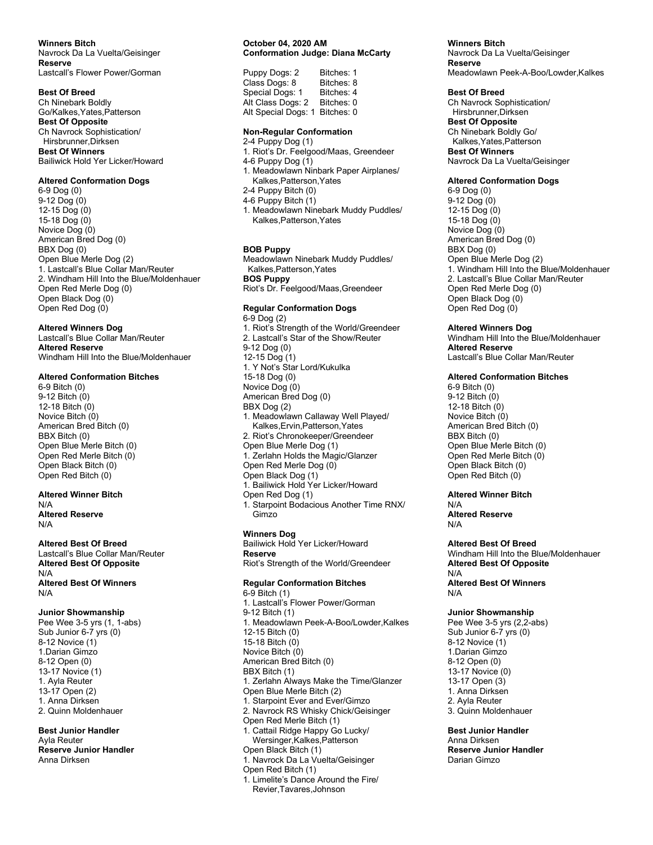#### Winners Bitch

Navrock Da La Vuelta/Geisinger Reserve Lastcall's Flower Power/Gorman

#### Best Of Breed

Ch Ninebark Boldly Go/Kalkes,Yates,Patterson Best Of Opposite Ch Navrock Sophistication/ Hirsbrunner,Dirksen Best Of Winners Bailiwick Hold Yer Licker/Howard

#### Altered Conformation Dogs

6-9 Dog (0) 9-12 Dog (0) 12-15 Dog (0) 15-18 Dog (0) Novice Dog (0) American Bred Dog (0) BBX Dog (0) Open Blue Merle Dog (2) 1. Lastcall's Blue Collar Man/Reuter 2. Windham Hill Into the Blue/Moldenhauer Open Red Merle Dog (0) Open Black Dog (0) Open Red Dog (0)

# Altered Winners Dog

Lastcall's Blue Collar Man/Reuter Altered Reserve Windham Hill Into the Blue/Moldenhauer

#### Altered Conformation Bitches

6-9 Bitch (0) 9-12 Bitch (0) 12-18 Bitch (0) Novice Bitch (0) American Bred Bitch (0) BBX Bitch (0) Open Blue Merle Bitch (0) Open Red Merle Bitch (0) Open Black Bitch (0) Open Red Bitch (0)

# Altered Winner Bitch

N/A Altered Reserve N/A

#### Altered Best Of Breed Lastcall's Blue Collar Man/Reuter Altered Best Of Opposite N/A Altered Best Of Winners

N/A

# Junior Showmanship

Pee Wee 3-5 yrs (1, 1-abs) Sub Junior 6-7 yrs (0) 8-12 Novice (1) 1.Darian Gimzo 8-12 Open (0) 13-17 Novice (1) 1. Ayla Reuter 13-17 Open (2) 1. Anna Dirksen 2. Quinn Moldenhauer

Best Junior Handler Ayla Reuter Reserve Junior Handler Anna Dirksen

#### October 04, 2020 AM Conformation Judge: Diana McCarty

| Puppy Dogs: 2       | Bitches: 1 |
|---------------------|------------|
| Class Dogs: 8       | Bitches: 8 |
| Special Dogs: 1     | Bitches: 4 |
| Alt Class Dogs: 2   | Bitches: 0 |
| Alt Special Dogs: 1 | Bitches: 0 |

#### Non-Regular Conformation

2-4 Puppy Dog (1) 1. Riot's Dr. Feelgood/Maas, Greendeer 4-6 Puppy Dog (1) 1. Meadowlawn Ninbark Paper Airplanes/ Kalkes,Patterson,Yates 2-4 Puppy Bitch (0) 4-6 Puppy Bitch (1) 1. Meadowlawn Ninebark Muddy Puddles/ Kalkes,Patterson,Yates

#### BOB Puppy

Meadowlawn Ninebark Muddy Puddles/ Kalkes,Patterson,Yates BOS Puppy Riot's Dr. Feelgood/Maas,Greendeer

#### Regular Conformation Dogs

6-9 Dog (2) 1. Riot's Strength of the World/Greendeer 2. Lastcall's Star of the Show/Reuter 9-12 Dog (0) 12-15 Dog (1) 1. Y Not's Star Lord/Kukulka 15-18 Dog (0) Novice Dog (0) American Bred Dog (0) BBX Dog (2) 1. Meadowlawn Callaway Well Played/ Kalkes,Ervin,Patterson,Yates 2. Riot's Chronokeeper/Greendeer Open Blue Merle Dog (1) 1. Zerlahn Holds the Magic/Glanzer Open Red Merle Dog (0) Open Black Dog (1) 1. Bailiwick Hold Yer Licker/Howard Open Red Dog (1) 1. Starpoint Bodacious Another Time RNX/ Gimzo

#### Winners Dog

Bailiwick Hold Yer Licker/Howard Reserve Riot's Strength of the World/Greendeer

#### Regular Conformation Bitches

6-9 Bitch (1) 1. Lastcall's Flower Power/Gorman 9-12 Bitch (1) 1. Meadowlawn Peek-A-Boo/Lowder,Kalkes 12-15 Bitch (0) 15-18 Bitch (0) Novice Bitch (0) American Bred Bitch (0) BBX Bitch (1) 1. Zerlahn Always Make the Time/Glanzer Open Blue Merle Bitch (2) 1. Starpoint Ever and Ever/Gimzo 2. Navrock RS Whisky Chick/Geisinger Open Red Merle Bitch (1) 1. Cattail Ridge Happy Go Lucky/ Wersinger,Kalkes,Patterson Open Black Bitch (1) 1. Navrock Da La Vuelta/Geisinger Open Red Bitch (1) 1. Limelite's Dance Around the Fire/ Revier,Tavares,Johnson

# Winners Bitch

Navrock Da La Vuelta/Geisinger Reserve Meadowlawn Peek-A-Boo/Lowder,Kalkes

#### Best Of Breed

Ch Navrock Sophistication/ Hirsbrunner,Dirksen Best Of Opposite Ch Ninebark Boldly Go/ Kalkes,Yates,Patterson Best Of Winners Navrock Da La Vuelta/Geisinger

#### Altered Conformation Dogs

6-9 Dog (0) 9-12 Dog (0) 12-15 Dog (0) 15-18 Dog (0) Novice Dog (0) American Bred Dog (0) BBX Dog (0) Open Blue Merle Dog (2) 1. Windham Hill Into the Blue/Moldenhauer 2. Lastcall's Blue Collar Man/Reuter Open Red Merle Dog (0) Open Black Dog (0) Open Red Dog (0)

# Altered Winners Dog

Windham Hill Into the Blue/Moldenhauer Altered Reserve Lastcall's Blue Collar Man/Reuter

#### Altered Conformation Bitches

6-9 Bitch (0) 9-12 Bitch (0) 12-18 Bitch (0) Novice Bitch (0) American Bred Bitch (0) BBX Bitch (0) Open Blue Merle Bitch (0) Open Red Merle Bitch (0) Open Black Bitch (0) Open Red Bitch (0)

#### Altered Winner Bitch

N/A Altered Reserve N/A

#### Altered Best Of Breed

Windham Hill Into the Blue/Moldenhauer Altered Best Of Opposite N/A Altered Best Of Winners N/A

#### Junior Showmanship

Pee Wee 3-5 yrs (2,2-abs) Sub Junior 6-7 yrs (0) 8-12 Novice (1) 1.Darian Gimzo 8-12 Open (0) 13-17 Novice (0) 13-17 Open (3) 1. Anna Dirksen 2. Ayla Reuter 3. Quinn Moldenhauer

Best Junior Handler Anna Dirksen Reserve Junior Handler Darian Gimzo